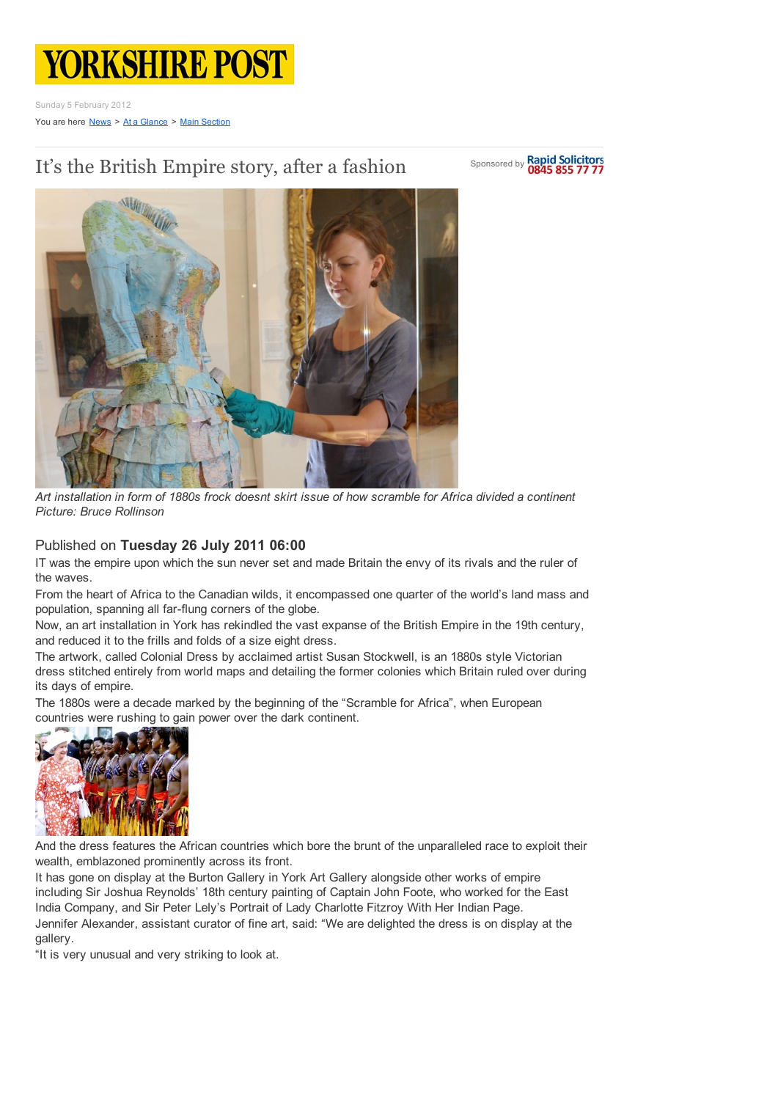

Sunday 5 February 2012 You are here News > At a Glance > Main Section

## It's the British Empire story, after a fashion

Sponsored by **Rapid Solicitors** 



*Art installation in form of 1880s frock doesnt skirt issue of how scramble for Africa divided a continent Picture: Bruce Rollinson*

## Published on **Tuesday 26 July 2011 06:00**

IT was the empire upon which the sun never set and made Britain the envy of its rivals and the ruler of the waves.

From the heart of Africa to the Canadian wilds, it encompassed one quarter of the world's land mass and population, spanning all far-flung corners of the globe.

Now, an art installation in York has rekindled the vast expanse of the British Empire in the 19th century, and reduced it to the frills and folds of a size eight dress.

The artwork, called Colonial Dress by acclaimed artist Susan Stockwell, is an 1880s style Victorian dress stitched entirely from world maps and detailing the former colonies which Britain ruled over during its days of empire.

The 1880s were a decade marked by the beginning of the "Scramble for Africa", when European countries were rushing to gain power over the dark continent.



And the dress features the African countries which bore the brunt of the unparalleled race to exploit their wealth, emblazoned prominently across its front.

It has gone on display at the Burton Gallery in York Art Gallery alongside other works of empire including Sir Joshua Reynolds' 18th century painting of Captain John Foote, who worked for the East India Company, and Sir Peter Lely's Portrait of Lady Charlotte Fitzroy With Her Indian Page. Jennifer Alexander, assistant curator of fine art, said: "We are delighted the dress is on display at the gallery.

"It is very unusual and very striking to look at.